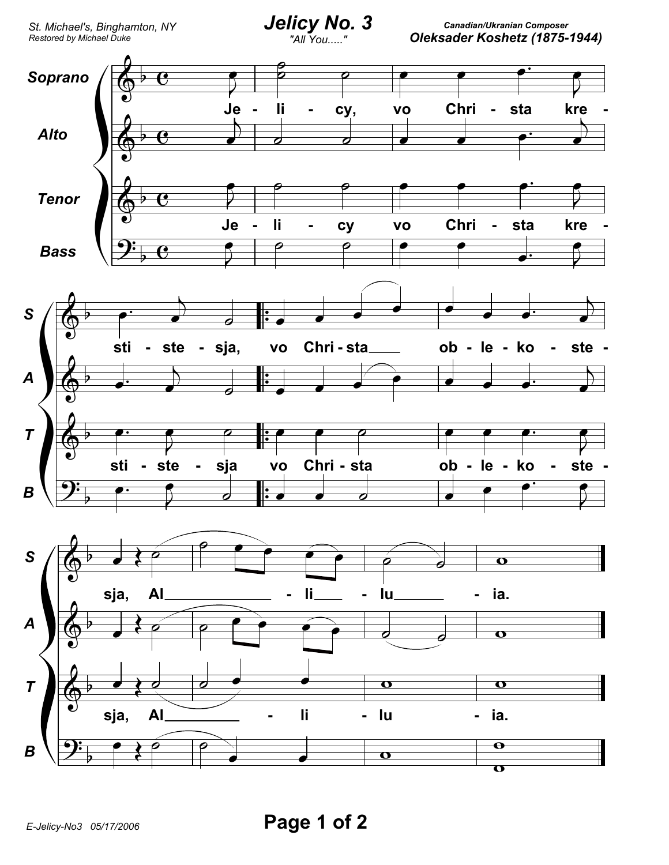Canadian/Ukranian Composer Oleksader Koshetz (1875-1944)